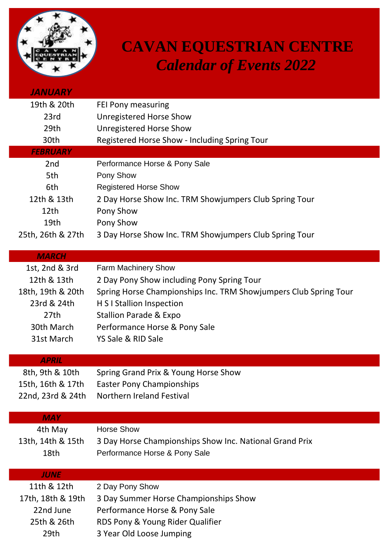

## **CAVAN EQUESTRIAN CENTRE** *Calendar of Events 2022*

| <b>JANUARY</b>    |                                                        |
|-------------------|--------------------------------------------------------|
| 19th & 20th       | <b>FEI Pony measuring</b>                              |
| 23rd              | Unregistered Horse Show                                |
| 29th              | <b>Unregistered Horse Show</b>                         |
| 30th              | Registered Horse Show - Including Spring Tour          |
| <b>FEBRUARY</b>   |                                                        |
| 2 <sub>nd</sub>   | Performance Horse & Pony Sale                          |
| 5th               | Pony Show                                              |
| 6th               | <b>Registered Horse Show</b>                           |
| 12th & 13th       | 2 Day Horse Show Inc. TRM Showjumpers Club Spring Tour |
| 12th              | Pony Show                                              |
| 19th              | Pony Show                                              |
| 25th, 26th & 27th | 3 Day Horse Show Inc. TRM Showjumpers Club Spring Tour |
|                   |                                                        |
| <b>MARCH</b>      |                                                        |
| 1st, 2nd & 3rd    | <b>Farm Machinery Show</b>                             |

| 2 Day Pony Show including Pony Spring Tour                       |
|------------------------------------------------------------------|
| Spring Horse Championships Inc. TRM Showjumpers Club Spring Tour |
| H S I Stallion Inspection                                        |
| <b>Stallion Parade &amp; Expo</b>                                |
| Performance Horse & Pony Sale                                    |
| YS Sale & RID Sale                                               |
|                                                                  |

| <b>APRIL</b>      |                                      |
|-------------------|--------------------------------------|
| 8th, 9th & 10th   | Spring Grand Prix & Young Horse Show |
| 15th, 16th & 17th | Easter Pony Championships            |
| 22nd, 23rd & 24th | <b>Northern Ireland Festival</b>     |
|                   |                                      |

| <b>MAY</b>        |                                                         |
|-------------------|---------------------------------------------------------|
| 4th May           | Horse Show                                              |
| 13th, 14th & 15th | 3 Day Horse Championships Show Inc. National Grand Prix |
| 18th              | Performance Horse & Pony Sale                           |
|                   |                                                         |

| <b>JUNE</b>       |                                       |
|-------------------|---------------------------------------|
| 11th & 12th       | 2 Day Pony Show                       |
| 17th, 18th & 19th | 3 Day Summer Horse Championships Show |
| 22nd June         | Performance Horse & Pony Sale         |
| 25th & 26th       | RDS Pony & Young Rider Qualifier      |
| 29th              | 3 Year Old Loose Jumping              |